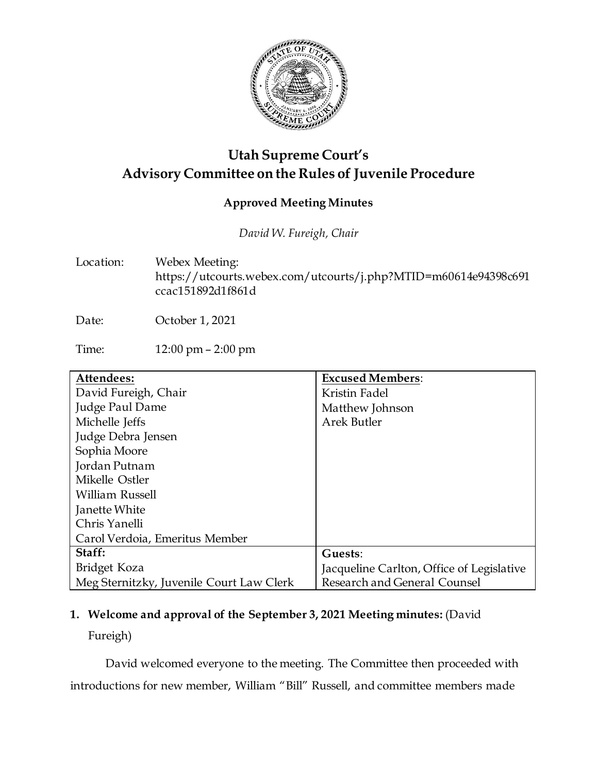

## **Utah Supreme Court's Advisory Committee on the Rules of Juvenile Procedure**

#### **Approved Meeting Minutes**

*David W. Fureigh, Chair*

Location: Webex Meeting: https://utcourts.webex.com/utcourts/j.php?MTID=m60614e94398c691 ccac151892d1f861d

Date: October 1, 2021

Time: 12:00 pm – 2:00 pm

| Attendees:                               | <b>Excused Members:</b>                   |
|------------------------------------------|-------------------------------------------|
| David Fureigh, Chair                     | Kristin Fadel                             |
| Judge Paul Dame                          | Matthew Johnson                           |
| Michelle Jeffs                           | <b>Arek Butler</b>                        |
| Judge Debra Jensen                       |                                           |
| Sophia Moore                             |                                           |
| Jordan Putnam                            |                                           |
| Mikelle Ostler                           |                                           |
| William Russell                          |                                           |
| Janette White                            |                                           |
| Chris Yanelli                            |                                           |
| Carol Verdoia, Emeritus Member           |                                           |
| Staff:                                   | Guests:                                   |
| Bridget Koza                             | Jacqueline Carlton, Office of Legislative |
| Meg Sternitzky, Juvenile Court Law Clerk | Research and General Counsel              |

## **1. Welcome and approval of the September 3, 2021 Meeting minutes:** (David

Fureigh)

David welcomed everyone to the meeting. The Committee then proceeded with introductions for new member, William "Bill" Russell, and committee members made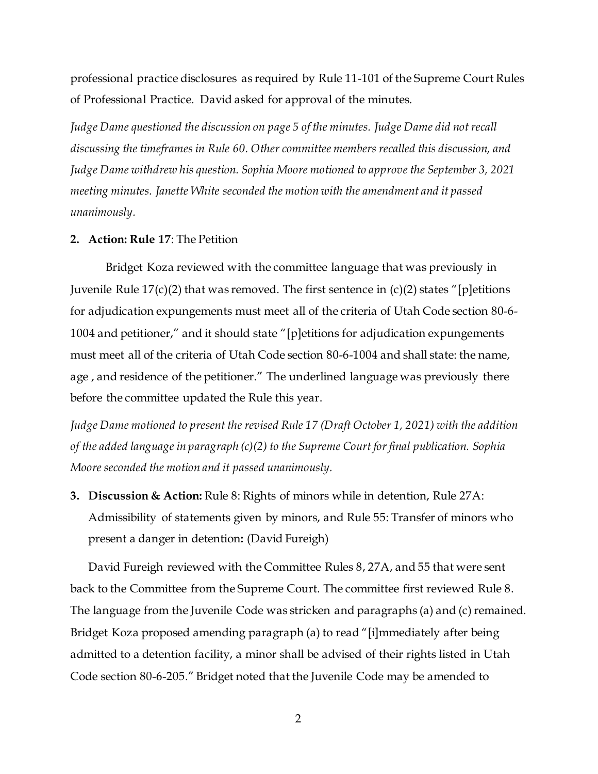professional practice disclosures as required by Rule 11-101 of the Supreme Court Rules of Professional Practice. David asked for approval of the minutes.

*Judge Dame questioned the discussion on page 5 of the minutes. Judge Dame did not recall discussing the timeframes in Rule 60. Other committee members recalled this discussion, and Judge Dame withdrew his question. Sophia Moore motioned to approve the September 3, 2021 meeting minutes. Janette White seconded the motion with the amendment and it passed unanimously.*

#### **2. Action: Rule 17**: The Petition

Bridget Koza reviewed with the committee language that was previously in Juvenile Rule  $17(c)(2)$  that was removed. The first sentence in  $(c)(2)$  states "[p]etitions for adjudication expungements must meet all of the criteria of Utah Code section 80-6- 1004 and petitioner," and it should state "[p]etitions for adjudication expungements must meet all of the criteria of Utah Code section 80-6-1004 and shall state: the name, age , and residence of the petitioner." The underlined language was previously there before the committee updated the Rule this year.

*Judge Dame motioned to present the revised Rule 17 (Draft October 1, 2021) with the addition of the added language in paragraph (c)(2) to the Supreme Court for final publication. Sophia Moore seconded the motion and it passed unanimously.*

**3. Discussion & Action:** Rule 8: Rights of minors while in detention, Rule 27A: Admissibility of statements given by minors, and Rule 55: Transfer of minors who present a danger in detention**:** (David Fureigh)

David Fureigh reviewed with the Committee Rules 8, 27A, and 55 that were sent back to the Committee from the Supreme Court. The committee first reviewed Rule 8. The language from the Juvenile Code was stricken and paragraphs (a) and (c) remained. Bridget Koza proposed amending paragraph (a) to read "[i]mmediately after being admitted to a detention facility, a minor shall be advised of their rights listed in Utah Code section 80-6-205." Bridget noted that the Juvenile Code may be amended to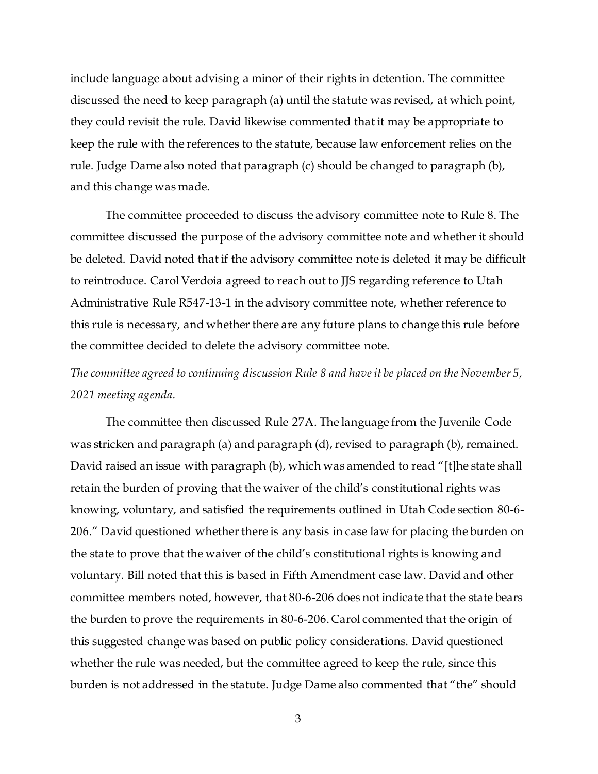include language about advising a minor of their rights in detention. The committee discussed the need to keep paragraph (a) until the statute was revised, at which point, they could revisit the rule. David likewise commented that it may be appropriate to keep the rule with the references to the statute, because law enforcement relies on the rule. Judge Dame also noted that paragraph (c) should be changed to paragraph (b), and this change was made.

The committee proceeded to discuss the advisory committee note to Rule 8. The committee discussed the purpose of the advisory committee note and whether it should be deleted. David noted that if the advisory committee note is deleted it may be difficult to reintroduce. Carol Verdoia agreed to reach out to JJS regarding reference to Utah Administrative Rule R547-13-1 in the advisory committee note, whether reference to this rule is necessary, and whether there are any future plans to change this rule before the committee decided to delete the advisory committee note.

## *The committee agreed to continuing discussion Rule 8 and have it be placed on the November 5, 2021 meeting agenda.*

The committee then discussed Rule 27A. The language from the Juvenile Code was stricken and paragraph (a) and paragraph (d), revised to paragraph (b), remained. David raised an issue with paragraph (b), which was amended to read "[t]he state shall retain the burden of proving that the waiver of the child's constitutional rights was knowing, voluntary, and satisfied the requirements outlined in Utah Code section 80-6- 206." David questioned whether there is any basis in case law for placing the burden on the state to prove that the waiver of the child's constitutional rights is knowing and voluntary. Bill noted that this is based in Fifth Amendment case law. David and other committee members noted, however, that 80-6-206 does not indicate that the state bears the burden to prove the requirements in 80-6-206. Carol commented that the origin of this suggested change was based on public policy considerations. David questioned whether the rule was needed, but the committee agreed to keep the rule, since this burden is not addressed in the statute. Judge Dame also commented that "the" should

3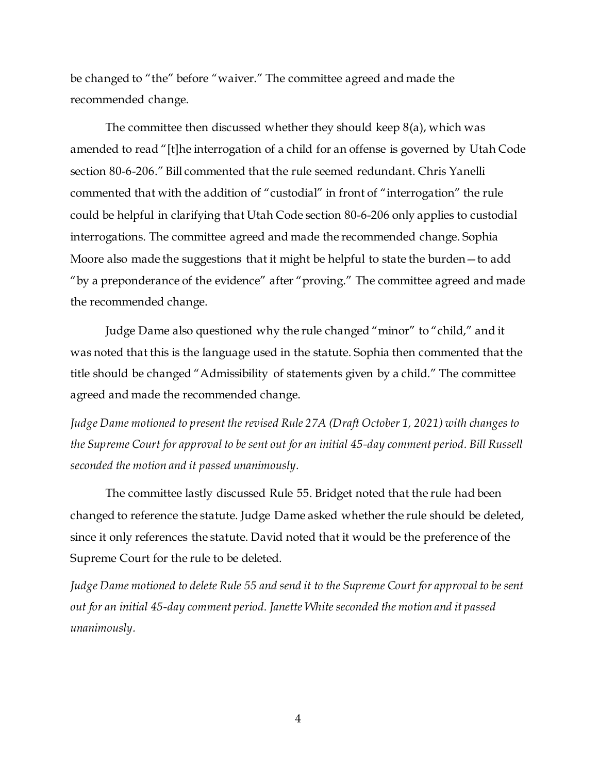be changed to "the" before "waiver." The committee agreed and made the recommended change.

The committee then discussed whether they should keep 8(a), which was amended to read "[t]he interrogation of a child for an offense is governed by Utah Code section 80-6-206." Bill commented that the rule seemed redundant. Chris Yanelli commented that with the addition of "custodial" in front of "interrogation" the rule could be helpful in clarifying that Utah Code section 80-6-206 only applies to custodial interrogations. The committee agreed and made the recommended change. Sophia Moore also made the suggestions that it might be helpful to state the burden—to add "by a preponderance of the evidence" after "proving." The committee agreed and made the recommended change.

Judge Dame also questioned why the rule changed "minor" to "child," and it was noted that this is the language used in the statute. Sophia then commented that the title should be changed "Admissibility of statements given by a child." The committee agreed and made the recommended change.

*Judge Dame motioned to present the revised Rule 27A (Draft October 1, 2021) with changes to the Supreme Court for approval to be sent out for an initial 45-day comment period. Bill Russell seconded the motion and it passed unanimously.* 

The committee lastly discussed Rule 55. Bridget noted that the rule had been changed to reference the statute. Judge Dame asked whether the rule should be deleted, since it only references the statute. David noted that it would be the preference of the Supreme Court for the rule to be deleted.

*Judge Dame motioned to delete Rule 55 and send it to the Supreme Court for approval to be sent out for an initial 45-day comment period. Janette White seconded the motion and it passed unanimously.*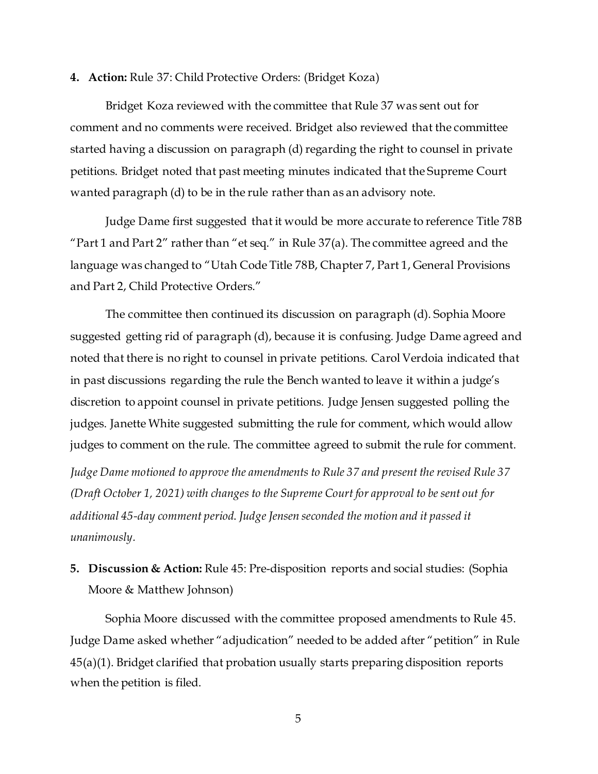#### **4. Action:** Rule 37: Child Protective Orders: (Bridget Koza)

Bridget Koza reviewed with the committee that Rule 37 was sent out for comment and no comments were received. Bridget also reviewed that the committee started having a discussion on paragraph (d) regarding the right to counsel in private petitions. Bridget noted that past meeting minutes indicated that the Supreme Court wanted paragraph (d) to be in the rule rather than as an advisory note.

Judge Dame first suggested that it would be more accurate to reference Title 78B "Part 1 and Part 2" rather than "et seq." in Rule  $37(a)$ . The committee agreed and the language was changed to "Utah Code Title 78B, Chapter 7, Part 1, General Provisions and Part 2, Child Protective Orders."

The committee then continued its discussion on paragraph (d). Sophia Moore suggested getting rid of paragraph (d), because it is confusing. Judge Dame agreed and noted that there is no right to counsel in private petitions. Carol Verdoia indicated that in past discussions regarding the rule the Bench wanted to leave it within a judge's discretion to appoint counsel in private petitions. Judge Jensen suggested polling the judges. Janette White suggested submitting the rule for comment, which would allow judges to comment on the rule. The committee agreed to submit the rule for comment.

*Judge Dame motioned to approve the amendments to Rule 37 and present the revised Rule 37 (Draft October 1, 2021) with changes to the Supreme Court for approval to be sent out for additional 45-day comment period*. *Judge Jensen seconded the motion and it passed it unanimously.*

#### **5. Discussion & Action:** Rule 45: Pre-disposition reports and social studies: (Sophia Moore & Matthew Johnson)

Sophia Moore discussed with the committee proposed amendments to Rule 45. Judge Dame asked whether "adjudication" needed to be added after "petition" in Rule 45(a)(1). Bridget clarified that probation usually starts preparing disposition reports when the petition is filed.

5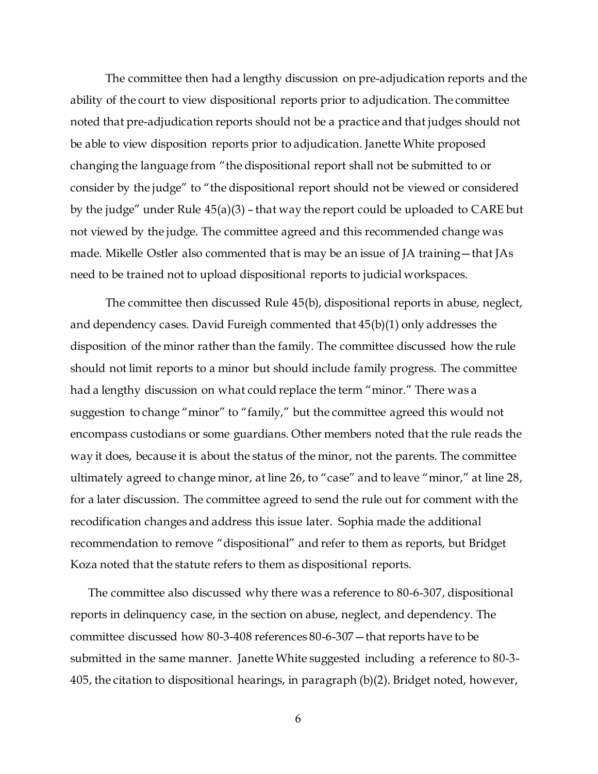The committee then had a lengthy discussion on pre-adjudication reports and the ability of the court to view dispositional reports prior to adjudication. The committee noted that pre-adjudication reports should not be a practice and that judges should not be able to view disposition reports prior to adjudication. Janette White proposed changing the language from "the dispositional report shall not be submitted to or consider by the judge" to "the dispositional report should not be viewed or considered by the judge" under Rule 45(a)(3) – that way the report could be uploaded to CARE but not viewed by the judge. The committee agreed and this recommended change was made. Mikelle Ostler also commented that is may be an issue of JA training—that JAs need to be trained not to upload dispositional reports to judicial workspaces.

The committee then discussed Rule 45(b), dispositional reports in abuse, neglect, and dependency cases. David Fureigh commented that 45(b)(1) only addresses the disposition of the minor rather than the family. The committee discussed how the rule should not limit reports to a minor but should include family progress. The committee had a lengthy discussion on what could replace the term "minor." There was a suggestion to change "minor" to "family," but the committee agreed this would not encompass custodians or some guardians. Other members noted that the rule reads the way it does, because it is about the status of the minor, not the parents. The committee ultimately agreed to change minor, at line 26, to "case" and to leave "minor," at line 28, for a later discussion. The committee agreed to send the rule out for comment with the recodification changes and address this issue later. Sophia made the additional recommendation to remove "dispositional" and refer to them as reports, but Bridget Koza noted that the statute refers to them as dispositional reports.

The committee also discussed why there was a reference to 80-6-307, dispositional reports in delinquency case, in the section on abuse, neglect, and dependency. The committee discussed how 80-3-408 references 80-6-307—that reports have to be submitted in the same manner. Janette White suggested including a reference to 80-3- 405, the citation to dispositional hearings, in paragraph (b)(2). Bridget noted, however,

6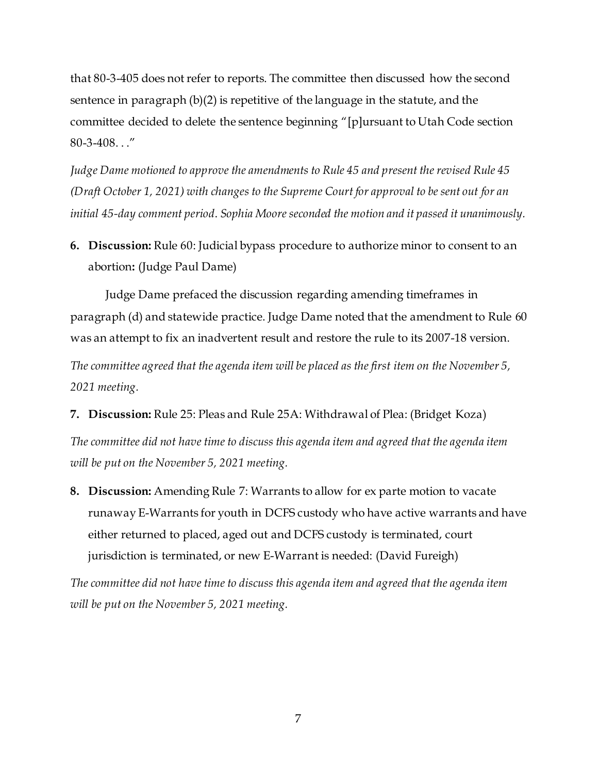that 80-3-405 does not refer to reports. The committee then discussed how the second sentence in paragraph (b)(2) is repetitive of the language in the statute, and the committee decided to delete the sentence beginning "[p]ursuant to Utah Code section 80-3-408. . ."

*Judge Dame motioned to approve the amendments to Rule 45 and present the revised Rule 45 (Draft October 1, 2021) with changes to the Supreme Court for approval to be sent out for an initial 45-day comment period*. *Sophia Moore seconded the motion and it passed it unanimously.*

**6. Discussion:** Rule 60: Judicial bypass procedure to authorize minor to consent to an abortion**:** (Judge Paul Dame)

Judge Dame prefaced the discussion regarding amending timeframes in paragraph (d) and statewide practice. Judge Dame noted that the amendment to Rule 60 was an attempt to fix an inadvertent result and restore the rule to its 2007-18 version.

*The committee agreed that the agenda item will be placed as the first item on the November 5, 2021 meeting.*

**7. Discussion:** Rule 25: Pleas and Rule 25A: Withdrawal of Plea: (Bridget Koza)

*The committee did not have time to discuss this agenda item and agreed that the agenda item will be put on the November 5, 2021 meeting.* 

**8. Discussion:** Amending Rule 7: Warrants to allow for ex parte motion to vacate runaway E-Warrants for youth in DCFS custody who have active warrants and have either returned to placed, aged out and DCFS custody is terminated, court jurisdiction is terminated, or new E-Warrant is needed: (David Fureigh)

*The committee did not have time to discuss this agenda item and agreed that the agenda item will be put on the November 5, 2021 meeting.*